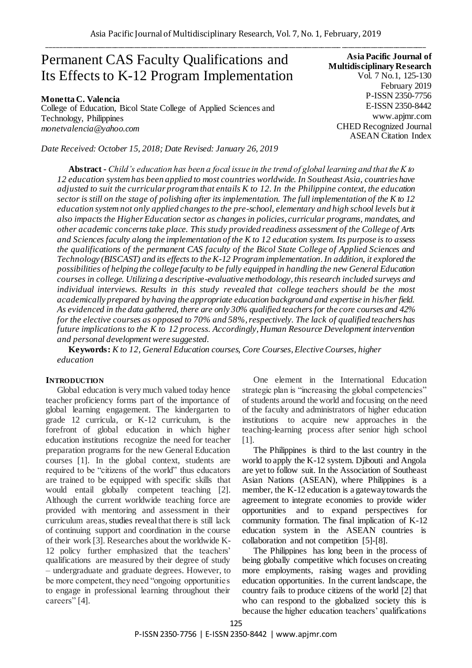# Permanent CAS Faculty Qualifications and Its Effects to K-12 Program Implementation

**Monetta C. Valencia** College of Education, Bicol State College of Applied Sciences and Technology, Philippines *monetvalencia@yahoo.com*

*Date Received: October 15, 2018; Date Revised: January 26, 2019*

**Asia Pacific Journal of Multidisciplinary Research** Vol. 7 No.1, 125-130 February 2019 P-ISSN 2350-7756 E-ISSN 2350-8442 www.apjmr.com CHED Recognized Journal ASEAN Citation Index

**Abstract -** *Child's education has been a focal issue in the trend of global learning and that the K to 12 education system has been applied to most countries worldwide. In Southeast Asia, countries have adjusted to suit the curricular program that entails K to 12. In the Philippine context, the education sector is still on the stage of polishing after its implementation. The full implementation of the K to 12 education system not only applied changes to the pre-school, elementary and high school levels but it also impacts the Higher Education sector as changes in policies, curricular programs, mandates, and other academic concerns take place. This study provided readiness assessment of the College of Arts and Sciences faculty along the implementation of the K to 12 education system. Its purpose is to assess the qualifications of the permanent CAS faculty of the Bicol State College of Applied Sciences and Technology (BISCAST) and its effects to the K-12 Program implementation.In addition, it explored the possibilities of helping the college faculty to be fully equipped in handling the new General Education courses in college. Utilizing a descriptive-evaluative methodology, this research included surveys and individual interviews. Results in this study revealed that college teachers should be the most academically prepared by having the appropriate education background and expertise in his/her field. As evidenced in the data gathered, there are only 30% qualified teachers for the core courses and 42% for the elective courses as opposed to 70% and 58%, respectively. The lack of qualified teachers has future implications to the K to 12 process. Accordingly, Human Resource Development intervention and personal development were suggested.* 

**Keywords:** *K to 12, General Education courses, Core Courses, Elective Courses, higher education*

# **INTRODUCTION**

Global education is very much valued today hence teacher proficiency forms part of the importance of global learning engagement. The kindergarten to grade 12 curricula, or K-12 curriculum, is the forefront of global education in which higher education institutions recognize the need for teacher preparation programs for the new General Education courses [1]. In the global context, students are required to be "citizens of the world" thus educators are trained to be equipped with specific skills that would entail globally competent teaching [2]. Although the current worldwide teaching force are provided with mentoring and assessment in their curriculum areas, studies reveal that there is still lack of continuing support and coordination in the course of their work [3]. Researches about the worldwide K-12 policy further emphasized that the teachers' qualifications are measured by their degree of study – undergraduate and graduate degrees. However, to be more competent, they need "ongoing opportunities" to engage in professional learning throughout their careers" [4].

One element in the International Education strategic plan is "increasing the global competencies" of students around the world and focusing on the need of the faculty and administrators of higher education institutions to acquire new approaches in the teaching-learning process after senior high school [1].

The Philippines is third to the last country in the world to apply the K-12 system. Djibouti and Angola are yet to follow suit. In the Association of Southeast Asian Nations (ASEAN), where Philippines is a member, the K-12 education is a gateway towards the agreement to integrate economies to provide wider opportunities and to expand perspectives for community formation. The final implication of K-12 education system in the ASEAN countries is collaboration and not competition [5]-[8].

The Philippines has long been in the process of being globally competitive which focuses on creating more employments, raising wages and providing education opportunities. In the current landscape, the country fails to produce citizens of the world [2] that who can respond to the globalized society this is because the higher education teachers' qualifications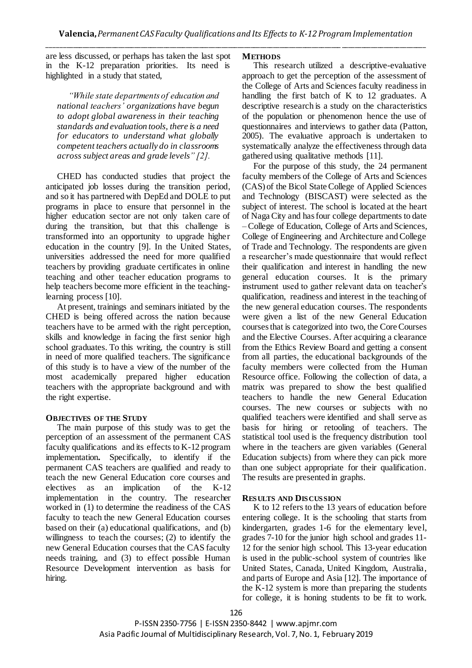are less discussed, or perhaps has taken the last spot in the K-12 preparation priorities. Its need is highlighted in a study that stated,

*"While state departments of education and national teachers' organizations have begun to adopt global awareness in their teaching standards and evaluation tools, there is a need for educators to understand what globally competent teachers actually do in classrooms across subject areas and grade levels" [2].*

CHED has conducted studies that project the anticipated job losses during the transition period, and so it has partnered with DepEd and DOLE to put programs in place to ensure that personnel in the higher education sector are not only taken care of during the transition, but that this challenge is transformed into an opportunity to upgrade higher education in the country [9]. In the United States, universities addressed the need for more qualified teachers by providing graduate certificates in online teaching and other teacher education programs to help teachers become more efficient in the teachinglearning process [10].

At present, trainings and seminars initiated by the CHED is being offered across the nation because teachers have to be armed with the right perception, skills and knowledge in facing the first senior high school graduates. To this writing, the country is still in need of more qualified teachers. The significance of this study is to have a view of the number of the most academically prepared higher education teachers with the appropriate background and with the right expertise.

# **OBJECTIVES OF THE STUDY**

The main purpose of this study was to get the perception of an assessment of the permanent CAS faculty qualifications and its effects to K-12 program implementation**.** Specifically, to identify if the permanent CAS teachers are qualified and ready to teach the new General Education core courses and electives as an implication of the K-12 implementation in the country. The researcher worked in (1) to determine the readiness of the CAS faculty to teach the new General Education courses based on their (a) educational qualifications, and (b) willingness to teach the courses; (2) to identify the new General Education courses that the CAS faculty needs training, and (3) to effect possible Human Resource Development intervention as basis for hiring.

### **METHODS**

This research utilized a descriptive-evaluative approach to get the perception of the assessment of the College of Arts and Sciences faculty readiness in handling the first batch of K to 12 graduates. A descriptive research is a study on the characteristics of the population or phenomenon hence the use of questionnaires and interviews to gather data (Patton, 2005). The evaluative approach is undertaken to systematically analyze the effectiveness through data gathered using qualitative methods [11].

For the purpose of this study, the 24 permanent faculty members of the College of Arts and Sciences (CAS) of the Bicol State College of Applied Sciences and Technology (BISCAST) were selected as the subject of interest. The school is located at the heart of NagaCity and has four college departments to date – College of Education, College of Arts and Sciences, College of Engineering and Architecture and College of Trade and Technology. The respondents are given a researcher's made questionnaire that would reflect their qualification and interest in handling the new general education courses. It is the primary instrument used to gather relevant data on teacher's qualification, readiness and interest in the teaching of the new general education courses. The respondents were given a list of the new General Education coursesthat is categorized into two, the Core Courses and the Elective Courses. After acquiring a clearance from the Ethics Review Board and getting a consent from all parties, the educational backgrounds of the faculty members were collected from the Human Resource office. Following the collection of data, a matrix was prepared to show the best qualified teachers to handle the new General Education courses. The new courses or subjects with no qualified teachers were identified and shall serve as basis for hiring or retooling of teachers. The statistical tool used is the frequency distribution tool where in the teachers are given variables (General Education subjects) from where they can pick more than one subject appropriate for their qualification. The results are presented in graphs.

# **RESULTS AND DISCUSSION**

K to 12 refers to the 13 years of education before entering college. It is the schooling that starts from kindergarten, grades 1-6 for the elementary level, grades 7-10 for the junior high school and grades 11- 12 for the senior high school. This 13-year education is used in the public-school system of countries like United States, Canada, United Kingdom, Australia, and parts of Europe and Asia [12]. The importance of the K-12 system is more than preparing the students for college, it is honing students to be fit to work.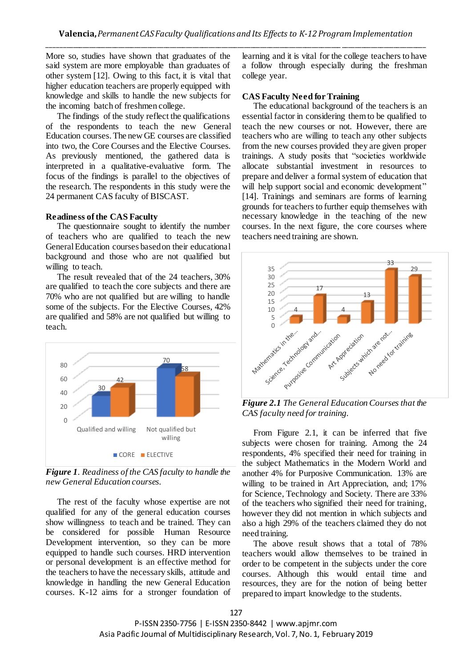More so, studies have shown that graduates of the said system are more employable than graduates of other system [12]. Owing to this fact, it is vital that higher education teachers are properly equipped with knowledge and skills to handle the new subjects for the incoming batch of freshmen college.

The findings of the study reflect the qualifications of the respondents to teach the new General Education courses. The new GE courses are classified into two, the Core Courses and the Elective Courses. As previously mentioned, the gathered data is interpreted in a qualitative-evaluative form. The focus of the findings is parallel to the objectives of the research. The respondents in this study were the 24 permanent CAS faculty of BISCAST.

## **Readiness of the CAS Faculty**

The questionnaire sought to identify the number of teachers who are qualified to teach the new General Education courses based on their educational background and those who are not qualified but willing to teach.

The result revealed that of the 24 teachers, 30% are qualified to teach the core subjects and there are 70% who are not qualified but are willing to handle some of the subjects. For the Elective Courses, 42% are qualified and 58% are not qualified but willing to teach.



*Figure 1. Readiness of the CAS faculty to handle the new General Education courses.*

The rest of the faculty whose expertise are not qualified for any of the general education courses show willingness to teach and be trained. They can be considered for possible Human Resource Development intervention, so they can be more equipped to handle such courses. HRD intervention or personal development is an effective method for the teachers to have the necessary skills, attitude and knowledge in handling the new General Education courses. K-12 aims for a stronger foundation of learning and it is vital for the college teachers to have a follow through especially during the freshman college year.

#### **CAS Faculty Need for Training**

The educational background of the teachers is an essential factor in considering them to be qualified to teach the new courses or not. However, there are teachers who are willing to teach any other subjects from the new courses provided they are given proper trainings. A study posits that "societies worldwide allocate substantial investment in resources to prepare and deliver a formal system of education that will help support social and economic development" [14]. Trainings and seminars are forms of learning grounds for teachers to further equip themselves with necessary knowledge in the teaching of the new courses. In the next figure, the core courses where teachers need training are shown.



*Figure 2.1 The General Education Courses that the CAS faculty need for training.*

From Figure 2.1, it can be inferred that five subjects were chosen for training. Among the 24 respondents, 4% specified their need for training in the subject Mathematics in the Modern World and another 4% for Purposive Communication. 13% are willing to be trained in Art Appreciation, and; 17% for Science, Technology and Society. There are 33% of the teachers who signified their need for training, however they did not mention in which subjects and also a high 29% of the teachers claimed they do not need training.

The above result shows that a total of 78% teachers would allow themselves to be trained in order to be competent in the subjects under the core courses. Although this would entail time and resources, they are for the notion of being better prepared to impart knowledge to the students.

P-ISSN 2350-7756 | E-ISSN 2350-8442 | www.apjmr.com Asia Pacific Journal of Multidisciplinary Research, Vol. 7, No. 1, February 2019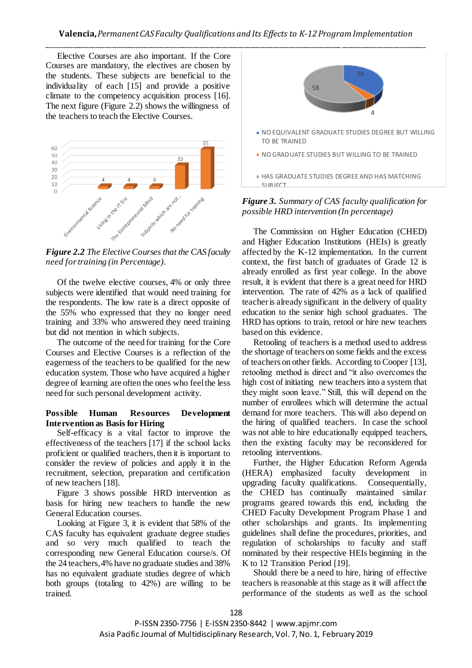Elective Courses are also important. If the Core Courses are mandatory, the electives are chosen by the students. These subjects are beneficial to the individuality of each [15] and provide a positive climate to the competency acquisition process [16]. The next figure (Figure 2.2) shows the willingness of the teachers to teach the Elective Courses.



*Figure 2.2 The Elective Courses that the CAS faculty need for training (in Percentage)*.

Of the twelve elective courses, 4% or only three subjects were identified that would need training for the respondents. The low rate is a direct opposite of the 55% who expressed that they no longer need training and 33% who answered they need training but did not mention in which subjects.

The outcome of the need for training for the Core Courses and Elective Courses is a reflection of the eagerness of the teachers to be qualified for the new education system. Those who have acquired a higher degree of learning are often the ones who feel the less need for such personal development activity.

### **Possible Human Resources Development Intervention as Basis for Hiring**

Self-efficacy is a vital factor to improve the effectiveness of the teachers [17] if the school lacks proficient or qualified teachers, then it is important to consider the review of policies and apply it in the recruitment, selection, preparation and certification of new teachers [18].

Figure 3 shows possible HRD intervention as basis for hiring new teachers to handle the new General Education courses.

Looking at Figure 3, it is evident that 58% of the CAS faculty has equivalent graduate degree studies and so very much qualified to teach the corresponding new General Education course/s. Of the 24 teachers, 4% have no graduate studies and 38% has no equivalent graduate studies degree of which both groups (totaling to 42%) are willing to be trained.



*Figure 3. Summary of CAS faculty qualification for possible HRD intervention (In percentage)*

The Commission on Higher Education (CHED) and Higher Education Institutions (HEIs) is greatly affected by the K-12 implementation. In the current context, the first batch of graduates of Grade 12 is already enrolled as first year college. In the above result, it is evident that there is a great need for HRD intervention. The rate of 42% as a lack of qualified teacher is already significant in the delivery of quality education to the senior high school graduates. The HRD has options to train, retool or hire new teachers based on this evidence.

Retooling of teachers is a method used to address the shortage of teachers on some fields and the excess of teachers on other fields. According to Cooper [13], retooling method is direct and "it also overcomes the high cost of initiating new teachers into a system that they might soon leave." Still, this will depend on the number of enrollees which will determine the actual demand for more teachers. This will also depend on the hiring of qualified teachers. In case the school was not able to hire educationally equipped teachers, then the existing faculty may be reconsidered for retooling interventions.

Further, the Higher Education Reform Agenda (HERA) emphasized faculty development in upgrading faculty qualifications. Consequentially, the CHED has continually maintained similar programs geared towards this end, including the CHED Faculty Development Program Phase 1 and other scholarships and grants. Its implementing guidelines shall define the procedures, priorities, and regulation of scholarships to faculty and staff nominated by their respective HEIs beginning in the K to 12 Transition Period [19].

Should there be a need to hire, hiring of effective teachers is reasonable at this stage as it will affect the performance of the students as well as the school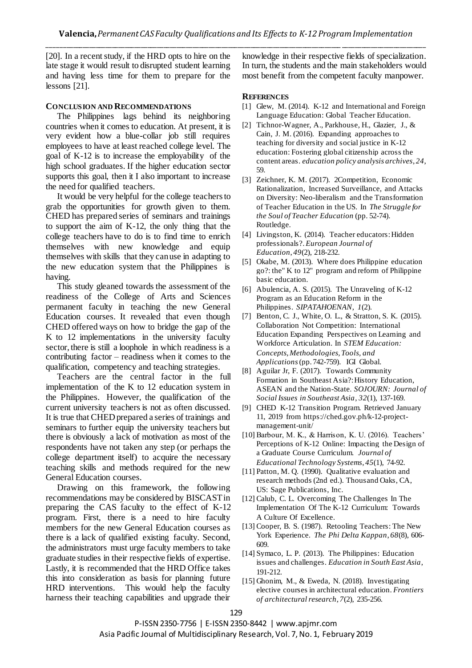[20]. In a recent study, if the HRD opts to hire on the late stage it would result to disrupted student learning and having less time for them to prepare for the lessons [21].

## **CONCLUSION AND RECOMMENDATIONS**

The Philippines lags behind its neighboring countries when it comes to education. At present, it is very evident how a blue-collar job still requires employees to have at least reached college level. The goal of K-12 is to increase the employability of the high school graduates. If the higher education sector supports this goal, then it I also important to increase the need for qualified teachers.

It would be very helpful for the college teachers to grab the opportunities for growth given to them. CHED has prepared series of seminars and trainings to support the aim of K-12, the only thing that the college teachers have to do is to find time to enrich themselves with new knowledge and equip themselves with skills that they can use in adapting to the new education system that the Philippines is having.

This study gleaned towards the assessment of the readiness of the College of Arts and Sciences permanent faculty in teaching the new General Education courses. It revealed that even though CHED offered ways on how to bridge the gap of the K to 12 implementations in the university faculty sector, there is still a loophole in which readiness is a contributing factor – readiness when it comes to the qualification, competency and teaching strategies.

Teachers are the central factor in the full implementation of the K to 12 education system in the Philippines. However, the qualification of the current university teachers is not as often discussed. It is true that CHED prepared a series of trainings and seminars to further equip the university teachers but there is obviously a lack of motivation as most of the respondents have not taken any step (or perhaps the college department itself) to acquire the necessary teaching skills and methods required for the new General Education courses.

Drawing on this framework, the following recommendations may be considered by BISCAST in preparing the CAS faculty to the effect of K-12 program. First, there is a need to hire faculty members for the new General Education courses as there is a lack of qualified existing faculty. Second, the administrators must urge faculty members to take graduate studies in their respective fields of expertise. Lastly, it is recommended that the HRD Office takes this into consideration as basis for planning future HRD interventions. This would help the faculty harness their teaching capabilities and upgrade their

knowledge in their respective fields of specialization. In turn, the students and the main stakeholders would most benefit from the competent faculty manpower.

#### **REFERENCES**

- [1] Glew, M. (2014). K-12 and International and Foreign Language Education: Global Teacher Education.
- [2] Tichnor-Wagner, A., Parkhouse, H., Glazier, J., & Cain, J. M. (2016). Expanding approaches to teaching for diversity and social justice in K-12 education: Fostering global citizenship across the content areas. *education policy analysis archives*, *24*, 59.
- [3] Zeichner, K. M. (2017). 2Competition, Economic Rationalization, Increased Surveillance, and Attacks on Diversity: Neo-liberalism and the Transformation of Teacher Education in the US. In *The Struggle for the Soul of Teacher Education* (pp. 52-74). Routledge.
- [4] Livingston, K. (2014). Teacher educators: Hidden professionals?. *European Journal of Education*, *49*(2), 218-232.
- [5] Okabe, M. (2013). Where does Philippine education go?: the" K to 12" program and reform of Philippine basic education.
- [6] Abulencia, A. S. (2015). The Unraveling of K-12 Program as an Education Reform in the Philippines. *SIPATAHOENAN*, *1*(2).
- [7] Benton, C. J., White, O. L., & Stratton, S. K. (2015). Collaboration Not Competition: International Education Expanding Perspectives on Learning and Workforce Articulation. In *STEM Education: Concepts, Methodologies, Tools, and Applications*(pp. 742-759). IGI Global.
- [8] Aguilar Jr, F. (2017). Towards Community Formation in Southeast Asia?: History Education, ASEAN and the Nation-State. *SOJOURN: Journal of Social Issues in Southeast Asia*, *32*(1), 137-169.
- [9] CHED K-12 Transition Program. Retrieved January 11, 2019 from https://ched.gov.ph/k-12-projectmanagement-unit/
- [10] Barbour, M. K., & Harrison, K. U. (2016). Teachers' Perceptions of K-12 Online: Impacting the Design of a Graduate Course Curriculum. *Journal of Educational Technology Systems*, *45*(1), 74-92.
- [11] Patton, M. Q. (1990). Qualitative evaluation and research methods (2nd ed.). Thousand Oaks, CA, US: Sage Publications, Inc.
- [12] Calub, C. L. Overcoming The Challenges In The Implementation Of The K-12 Curriculum: Towards A Culture Of Excellence.
- [13] Cooper, B. S. (1987). Retooling Teachers: The New York Experience. *The Phi Delta Kappan*, *68*(8), 606- 609.
- [14] Symaco, L. P. (2013). The Philippines: Education issues and challenges. *Education in South East Asia*, 191-212.
- [15] Ghonim, M., & Eweda, N. (2018). Investigating elective courses in architectural education. *Frontiers of architectural research*, *7*(2), 235-256.